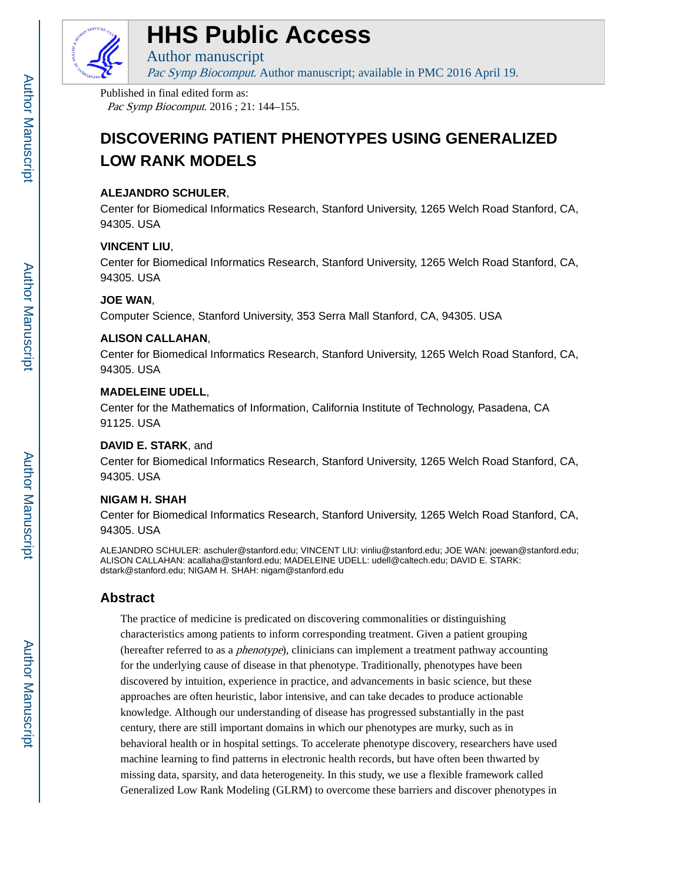

# **HHS Public Access**

Author manuscript

Pac Symp Biocomput. Author manuscript; available in PMC 2016 April 19.

Published in final edited form as: Pac Symp Biocomput. 2016 ; 21: 144–155.

## **DISCOVERING PATIENT PHENOTYPES USING GENERALIZED LOW RANK MODELS**

## **ALEJANDRO SCHULER**,

Center for Biomedical Informatics Research, Stanford University, 1265 Welch Road Stanford, CA, 94305. USA

## **VINCENT LIU**,

Center for Biomedical Informatics Research, Stanford University, 1265 Welch Road Stanford, CA, 94305. USA

## **JOE WAN**,

Computer Science, Stanford University, 353 Serra Mall Stanford, CA, 94305. USA

## **ALISON CALLAHAN**,

Center for Biomedical Informatics Research, Stanford University, 1265 Welch Road Stanford, CA, 94305. USA

## **MADELEINE UDELL**,

Center for the Mathematics of Information, California Institute of Technology, Pasadena, CA 91125. USA

## **DAVID E. STARK**, and

Center for Biomedical Informatics Research, Stanford University, 1265 Welch Road Stanford, CA, 94305. USA

## **NIGAM H. SHAH**

Center for Biomedical Informatics Research, Stanford University, 1265 Welch Road Stanford, CA, 94305. USA

ALEJANDRO SCHULER: aschuler@stanford.edu; VINCENT LIU: vinliu@stanford.edu; JOE WAN: joewan@stanford.edu; ALISON CALLAHAN: acallaha@stanford.edu; MADELEINE UDELL: udell@caltech.edu; DAVID E. STARK: dstark@stanford.edu; NIGAM H. SHAH: nigam@stanford.edu

## **Abstract**

The practice of medicine is predicated on discovering commonalities or distinguishing characteristics among patients to inform corresponding treatment. Given a patient grouping (hereafter referred to as a phenotype), clinicians can implement a treatment pathway accounting for the underlying cause of disease in that phenotype. Traditionally, phenotypes have been discovered by intuition, experience in practice, and advancements in basic science, but these approaches are often heuristic, labor intensive, and can take decades to produce actionable knowledge. Although our understanding of disease has progressed substantially in the past century, there are still important domains in which our phenotypes are murky, such as in behavioral health or in hospital settings. To accelerate phenotype discovery, researchers have used machine learning to find patterns in electronic health records, but have often been thwarted by missing data, sparsity, and data heterogeneity. In this study, we use a flexible framework called Generalized Low Rank Modeling (GLRM) to overcome these barriers and discover phenotypes in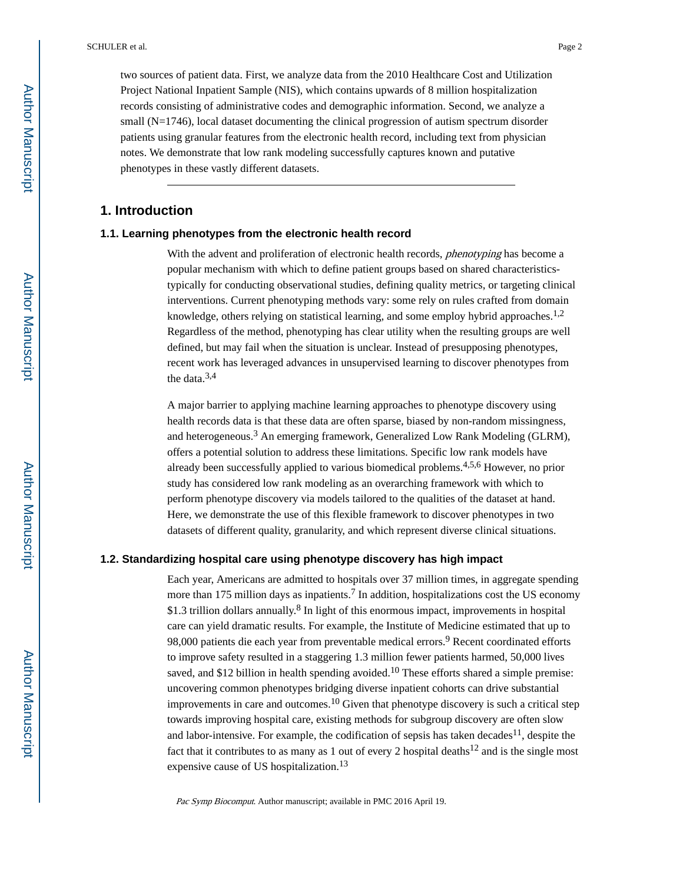two sources of patient data. First, we analyze data from the 2010 Healthcare Cost and Utilization Project National Inpatient Sample (NIS), which contains upwards of 8 million hospitalization records consisting of administrative codes and demographic information. Second, we analyze a small (N=1746), local dataset documenting the clinical progression of autism spectrum disorder patients using granular features from the electronic health record, including text from physician notes. We demonstrate that low rank modeling successfully captures known and putative phenotypes in these vastly different datasets.

## **1. Introduction**

#### **1.1. Learning phenotypes from the electronic health record**

With the advent and proliferation of electronic health records, *phenotyping* has become a popular mechanism with which to define patient groups based on shared characteristicstypically for conducting observational studies, defining quality metrics, or targeting clinical interventions. Current phenotyping methods vary: some rely on rules crafted from domain knowledge, others relying on statistical learning, and some employ hybrid approaches.<sup>1,2</sup> Regardless of the method, phenotyping has clear utility when the resulting groups are well defined, but may fail when the situation is unclear. Instead of presupposing phenotypes, recent work has leveraged advances in unsupervised learning to discover phenotypes from the data.3,4

A major barrier to applying machine learning approaches to phenotype discovery using health records data is that these data are often sparse, biased by non-random missingness, and heterogeneous.<sup>3</sup> An emerging framework, Generalized Low Rank Modeling (GLRM), offers a potential solution to address these limitations. Specific low rank models have already been successfully applied to various biomedical problems.4,5,6 However, no prior study has considered low rank modeling as an overarching framework with which to perform phenotype discovery via models tailored to the qualities of the dataset at hand. Here, we demonstrate the use of this flexible framework to discover phenotypes in two datasets of different quality, granularity, and which represent diverse clinical situations.

#### **1.2. Standardizing hospital care using phenotype discovery has high impact**

Each year, Americans are admitted to hospitals over 37 million times, in aggregate spending more than 175 million days as inpatients.<sup>7</sup> In addition, hospitalizations cost the US economy \$1.3 trillion dollars annually.<sup>8</sup> In light of this enormous impact, improvements in hospital care can yield dramatic results. For example, the Institute of Medicine estimated that up to 98,000 patients die each year from preventable medical errors.<sup>9</sup> Recent coordinated efforts to improve safety resulted in a staggering 1.3 million fewer patients harmed, 50,000 lives saved, and \$12 billion in health spending avoided.<sup>10</sup> These efforts shared a simple premise: uncovering common phenotypes bridging diverse inpatient cohorts can drive substantial improvements in care and outcomes.<sup>10</sup> Given that phenotype discovery is such a critical step towards improving hospital care, existing methods for subgroup discovery are often slow and labor-intensive. For example, the codification of sepsis has taken decades<sup>11</sup>, despite the fact that it contributes to as many as 1 out of every 2 hospital deaths<sup>12</sup> and is the single most expensive cause of US hospitalization.<sup>13</sup>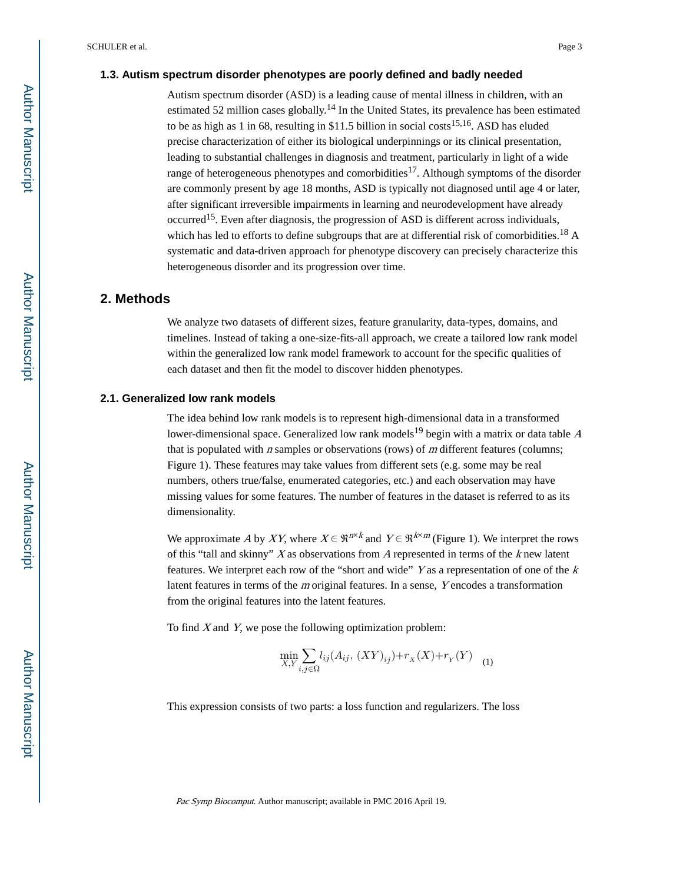## **1.3. Autism spectrum disorder phenotypes are poorly defined and badly needed**

Autism spectrum disorder (ASD) is a leading cause of mental illness in children, with an estimated 52 million cases globally.<sup>14</sup> In the United States, its prevalence has been estimated to be as high as 1 in 68, resulting in \$11.5 billion in social costs<sup>15,16</sup>. ASD has eluded precise characterization of either its biological underpinnings or its clinical presentation, leading to substantial challenges in diagnosis and treatment, particularly in light of a wide range of heterogeneous phenotypes and comorbidities<sup>17</sup>. Although symptoms of the disorder are commonly present by age 18 months, ASD is typically not diagnosed until age 4 or later, after significant irreversible impairments in learning and neurodevelopment have already occurred15. Even after diagnosis, the progression of ASD is different across individuals, which has led to efforts to define subgroups that are at differential risk of comorbidities.<sup>18</sup> A systematic and data-driven approach for phenotype discovery can precisely characterize this heterogeneous disorder and its progression over time.

## **2. Methods**

We analyze two datasets of different sizes, feature granularity, data-types, domains, and timelines. Instead of taking a one-size-fits-all approach, we create a tailored low rank model within the generalized low rank model framework to account for the specific qualities of each dataset and then fit the model to discover hidden phenotypes.

## **2.1. Generalized low rank models**

The idea behind low rank models is to represent high-dimensional data in a transformed lower-dimensional space. Generalized low rank models<sup>19</sup> begin with a matrix or data table  $A$ that is populated with  $n$  samples or observations (rows) of  $m$  different features (columns; Figure 1). These features may take values from different sets (e.g. some may be real numbers, others true/false, enumerated categories, etc.) and each observation may have missing values for some features. The number of features in the dataset is referred to as its dimensionality.

We approximate A by XY, where  $X \in \mathbb{R}^{n \times k}$  and  $Y \in \mathbb{R}^{k \times m}$  (Figure 1). We interpret the rows of this "tall and skinny"  $X$  as observations from  $A$  represented in terms of the  $k$  new latent features. We interpret each row of the "short and wide"  $Y$  as a representation of one of the  $k$ latent features in terms of the m original features. In a sense, Y encodes a transformation from the original features into the latent features.

To find  $X$  and  $Y$ , we pose the following optimization problem:

$$
\min_{X,Y} \sum_{i,j \in \Omega} l_{ij}(A_{ij}, (XY)_{ij}) + r_X(X) + r_Y(Y) \tag{1}
$$

This expression consists of two parts: a loss function and regularizers. The loss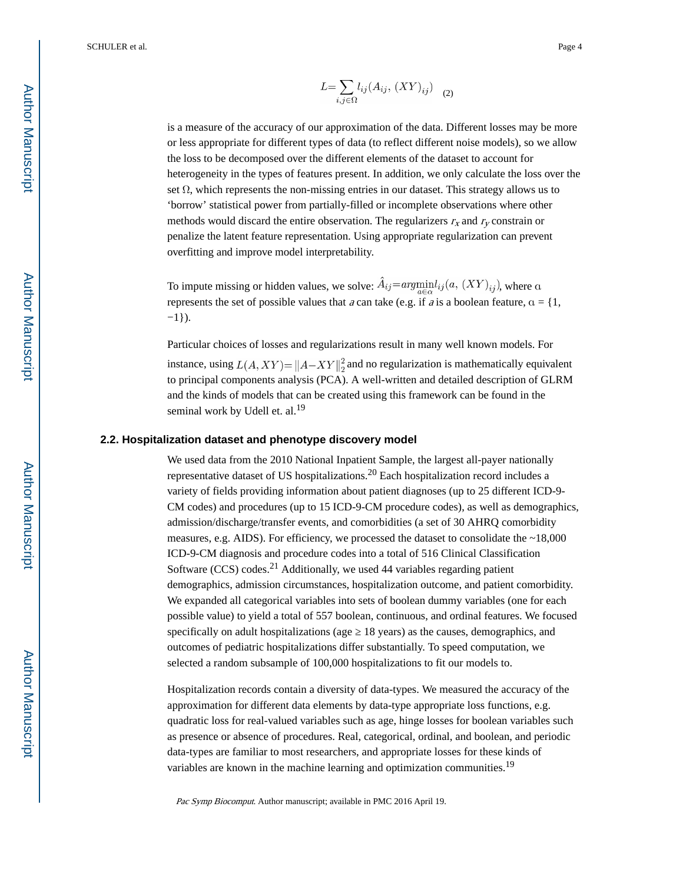is a measure of the accuracy of our approximation of the data. Different losses may be more or less appropriate for different types of data (to reflect different noise models), so we allow the loss to be decomposed over the different elements of the dataset to account for heterogeneity in the types of features present. In addition, we only calculate the loss over the set  $\Omega$ , which represents the non-missing entries in our dataset. This strategy allows us to 'borrow' statistical power from partially-filled or incomplete observations where other methods would discard the entire observation. The regularizers  $r<sub>x</sub>$  and  $r<sub>y</sub>$  constrain or penalize the latent feature representation. Using appropriate regularization can prevent overfitting and improve model interpretability.

To impute missing or hidden values, we solve:  $\hat{A}_{ij} = arg \min_{a \in \alpha} l_{ij}(a, (XY)_{ij})$ , where  $\alpha$ represents the set of possible values that a can take (e.g. if a is a boolean feature,  $\alpha = \{1,$ −1}).

Particular choices of losses and regularizations result in many well known models. For

instance, using  $L(A, XY) = ||A - XY||_2^2$  and no regularization is mathematically equivalent to principal components analysis (PCA). A well-written and detailed description of GLRM and the kinds of models that can be created using this framework can be found in the seminal work by Udell et. al.<sup>19</sup>

#### **2.2. Hospitalization dataset and phenotype discovery model**

We used data from the 2010 National Inpatient Sample, the largest all-payer nationally representative dataset of US hospitalizations.20 Each hospitalization record includes a variety of fields providing information about patient diagnoses (up to 25 different ICD-9- CM codes) and procedures (up to 15 ICD-9-CM procedure codes), as well as demographics, admission/discharge/transfer events, and comorbidities (a set of 30 AHRQ comorbidity measures, e.g. AIDS). For efficiency, we processed the dataset to consolidate the  $\sim$ 18,000 ICD-9-CM diagnosis and procedure codes into a total of 516 Clinical Classification Software  $(CCS)$  codes.<sup>21</sup> Additionally, we used 44 variables regarding patient demographics, admission circumstances, hospitalization outcome, and patient comorbidity. We expanded all categorical variables into sets of boolean dummy variables (one for each possible value) to yield a total of 557 boolean, continuous, and ordinal features. We focused specifically on adult hospitalizations (age 18 years) as the causes, demographics, and outcomes of pediatric hospitalizations differ substantially. To speed computation, we selected a random subsample of 100,000 hospitalizations to fit our models to.

Hospitalization records contain a diversity of data-types. We measured the accuracy of the approximation for different data elements by data-type appropriate loss functions, e.g. quadratic loss for real-valued variables such as age, hinge losses for boolean variables such as presence or absence of procedures. Real, categorical, ordinal, and boolean, and periodic data-types are familiar to most researchers, and appropriate losses for these kinds of variables are known in the machine learning and optimization communities.<sup>19</sup>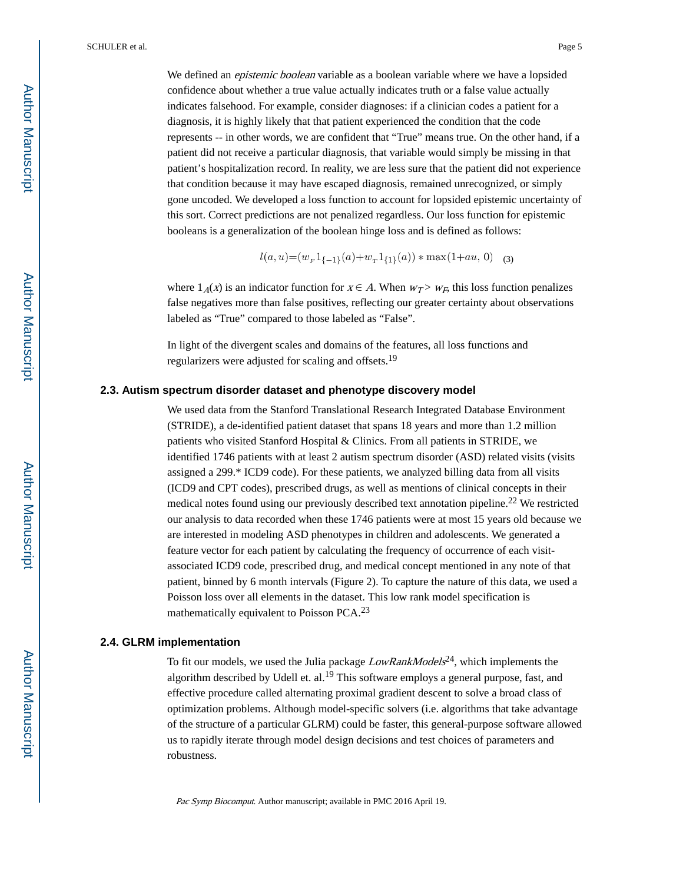We defined an *epistemic boolean* variable as a boolean variable where we have a lopsided confidence about whether a true value actually indicates truth or a false value actually indicates falsehood. For example, consider diagnoses: if a clinician codes a patient for a diagnosis, it is highly likely that that patient experienced the condition that the code represents -- in other words, we are confident that "True" means true. On the other hand, if a patient did not receive a particular diagnosis, that variable would simply be missing in that patient's hospitalization record. In reality, we are less sure that the patient did not experience that condition because it may have escaped diagnosis, remained unrecognized, or simply gone uncoded. We developed a loss function to account for lopsided epistemic uncertainty of this sort. Correct predictions are not penalized regardless. Our loss function for epistemic booleans is a generalization of the boolean hinge loss and is defined as follows:

$$
l(a, u) = (w_F 1_{\{-1\}}(a) + w_T 1_{\{1\}}(a)) * \max(1 + au, 0)
$$
 (3)

where  $1_A(x)$  is an indicator function for  $x \in A$ . When  $w_T > w_F$ , this loss function penalizes false negatives more than false positives, reflecting our greater certainty about observations labeled as "True" compared to those labeled as "False".

In light of the divergent scales and domains of the features, all loss functions and regularizers were adjusted for scaling and offsets.<sup>19</sup>

#### **2.3. Autism spectrum disorder dataset and phenotype discovery model**

We used data from the Stanford Translational Research Integrated Database Environment (STRIDE), a de-identified patient dataset that spans 18 years and more than 1.2 million patients who visited Stanford Hospital & Clinics. From all patients in STRIDE, we identified 1746 patients with at least 2 autism spectrum disorder (ASD) related visits (visits assigned a 299.\* ICD9 code). For these patients, we analyzed billing data from all visits (ICD9 and CPT codes), prescribed drugs, as well as mentions of clinical concepts in their medical notes found using our previously described text annotation pipeline.22 We restricted our analysis to data recorded when these 1746 patients were at most 15 years old because we are interested in modeling ASD phenotypes in children and adolescents. We generated a feature vector for each patient by calculating the frequency of occurrence of each visitassociated ICD9 code, prescribed drug, and medical concept mentioned in any note of that patient, binned by 6 month intervals (Figure 2). To capture the nature of this data, we used a Poisson loss over all elements in the dataset. This low rank model specification is mathematically equivalent to Poisson PCA.<sup>23</sup>

#### **2.4. GLRM implementation**

To fit our models, we used the Julia package  $LowRankModels^{24}$ , which implements the algorithm described by Udell et. al.<sup>19</sup> This software employs a general purpose, fast, and effective procedure called alternating proximal gradient descent to solve a broad class of optimization problems. Although model-specific solvers (i.e. algorithms that take advantage of the structure of a particular GLRM) could be faster, this general-purpose software allowed us to rapidly iterate through model design decisions and test choices of parameters and robustness.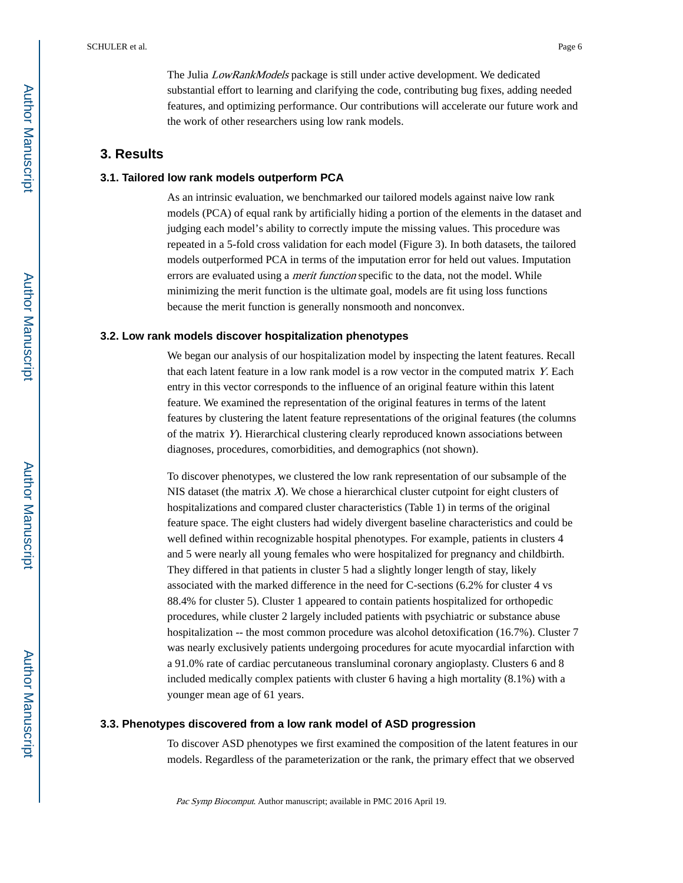The Julia LowRankModels package is still under active development. We dedicated substantial effort to learning and clarifying the code, contributing bug fixes, adding needed features, and optimizing performance. Our contributions will accelerate our future work and the work of other researchers using low rank models.

## **3. Results**

#### **3.1. Tailored low rank models outperform PCA**

As an intrinsic evaluation, we benchmarked our tailored models against naive low rank models (PCA) of equal rank by artificially hiding a portion of the elements in the dataset and judging each model's ability to correctly impute the missing values. This procedure was repeated in a 5-fold cross validation for each model (Figure 3). In both datasets, the tailored models outperformed PCA in terms of the imputation error for held out values. Imputation errors are evaluated using a *merit function* specific to the data, not the model. While minimizing the merit function is the ultimate goal, models are fit using loss functions because the merit function is generally nonsmooth and nonconvex.

#### **3.2. Low rank models discover hospitalization phenotypes**

We began our analysis of our hospitalization model by inspecting the latent features. Recall that each latent feature in a low rank model is a row vector in the computed matrix Y. Each entry in this vector corresponds to the influence of an original feature within this latent feature. We examined the representation of the original features in terms of the latent features by clustering the latent feature representations of the original features (the columns of the matrix Y). Hierarchical clustering clearly reproduced known associations between diagnoses, procedures, comorbidities, and demographics (not shown).

To discover phenotypes, we clustered the low rank representation of our subsample of the NIS dataset (the matrix  $X$ ). We chose a hierarchical cluster cutpoint for eight clusters of hospitalizations and compared cluster characteristics (Table 1) in terms of the original feature space. The eight clusters had widely divergent baseline characteristics and could be well defined within recognizable hospital phenotypes. For example, patients in clusters 4 and 5 were nearly all young females who were hospitalized for pregnancy and childbirth. They differed in that patients in cluster 5 had a slightly longer length of stay, likely associated with the marked difference in the need for C-sections (6.2% for cluster 4 vs 88.4% for cluster 5). Cluster 1 appeared to contain patients hospitalized for orthopedic procedures, while cluster 2 largely included patients with psychiatric or substance abuse hospitalization -- the most common procedure was alcohol detoxification (16.7%). Cluster 7 was nearly exclusively patients undergoing procedures for acute myocardial infarction with a 91.0% rate of cardiac percutaneous transluminal coronary angioplasty. Clusters 6 and 8 included medically complex patients with cluster 6 having a high mortality (8.1%) with a younger mean age of 61 years.

#### **3.3. Phenotypes discovered from a low rank model of ASD progression**

To discover ASD phenotypes we first examined the composition of the latent features in our models. Regardless of the parameterization or the rank, the primary effect that we observed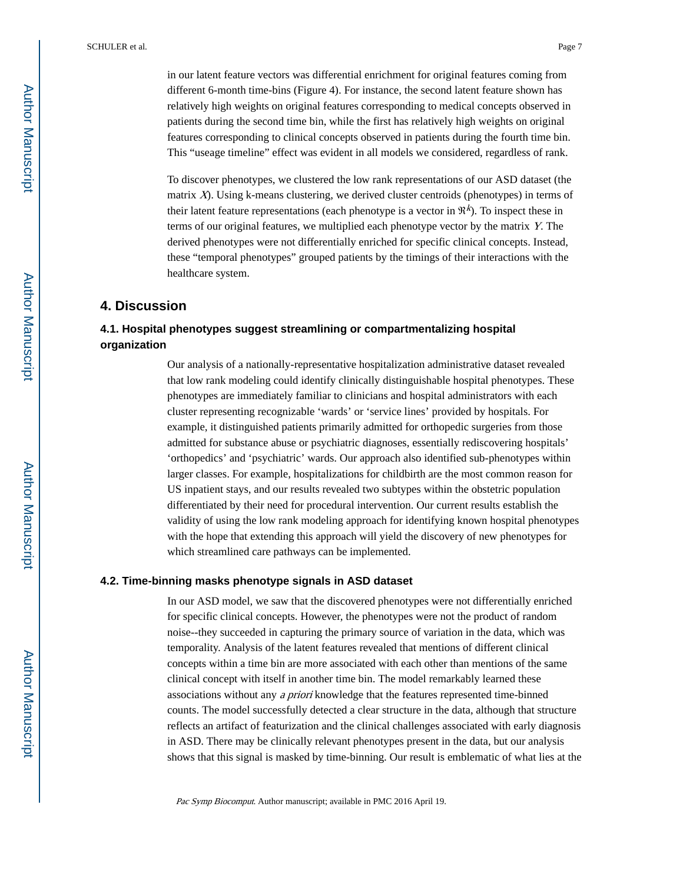in our latent feature vectors was differential enrichment for original features coming from different 6-month time-bins (Figure 4). For instance, the second latent feature shown has relatively high weights on original features corresponding to medical concepts observed in patients during the second time bin, while the first has relatively high weights on original features corresponding to clinical concepts observed in patients during the fourth time bin. This "useage timeline" effect was evident in all models we considered, regardless of rank.

To discover phenotypes, we clustered the low rank representations of our ASD dataset (the matrix  $X$ ). Using k-means clustering, we derived cluster centroids (phenotypes) in terms of their latent feature representations (each phenotype is a vector in  $\mathbb{R}^k$ ). To inspect these in terms of our original features, we multiplied each phenotype vector by the matrix Y. The derived phenotypes were not differentially enriched for specific clinical concepts. Instead, these "temporal phenotypes" grouped patients by the timings of their interactions with the healthcare system.

#### **4. Discussion**

## **4.1. Hospital phenotypes suggest streamlining or compartmentalizing hospital organization**

Our analysis of a nationally-representative hospitalization administrative dataset revealed that low rank modeling could identify clinically distinguishable hospital phenotypes. These phenotypes are immediately familiar to clinicians and hospital administrators with each cluster representing recognizable 'wards' or 'service lines' provided by hospitals. For example, it distinguished patients primarily admitted for orthopedic surgeries from those admitted for substance abuse or psychiatric diagnoses, essentially rediscovering hospitals' 'orthopedics' and 'psychiatric' wards. Our approach also identified sub-phenotypes within larger classes. For example, hospitalizations for childbirth are the most common reason for US inpatient stays, and our results revealed two subtypes within the obstetric population differentiated by their need for procedural intervention. Our current results establish the validity of using the low rank modeling approach for identifying known hospital phenotypes with the hope that extending this approach will yield the discovery of new phenotypes for which streamlined care pathways can be implemented.

#### **4.2. Time-binning masks phenotype signals in ASD dataset**

In our ASD model, we saw that the discovered phenotypes were not differentially enriched for specific clinical concepts. However, the phenotypes were not the product of random noise--they succeeded in capturing the primary source of variation in the data, which was temporality. Analysis of the latent features revealed that mentions of different clinical concepts within a time bin are more associated with each other than mentions of the same clinical concept with itself in another time bin. The model remarkably learned these associations without any a priori knowledge that the features represented time-binned counts. The model successfully detected a clear structure in the data, although that structure reflects an artifact of featurization and the clinical challenges associated with early diagnosis in ASD. There may be clinically relevant phenotypes present in the data, but our analysis shows that this signal is masked by time-binning. Our result is emblematic of what lies at the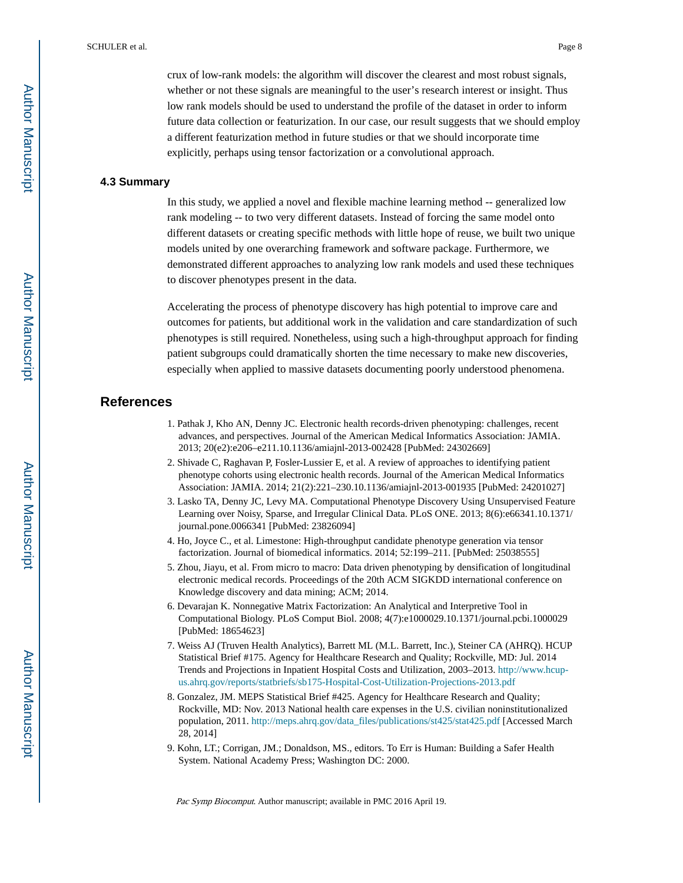crux of low-rank models: the algorithm will discover the clearest and most robust signals, whether or not these signals are meaningful to the user's research interest or insight. Thus low rank models should be used to understand the profile of the dataset in order to inform future data collection or featurization. In our case, our result suggests that we should employ a different featurization method in future studies or that we should incorporate time explicitly, perhaps using tensor factorization or a convolutional approach.

#### **4.3 Summary**

In this study, we applied a novel and flexible machine learning method -- generalized low rank modeling -- to two very different datasets. Instead of forcing the same model onto different datasets or creating specific methods with little hope of reuse, we built two unique models united by one overarching framework and software package. Furthermore, we demonstrated different approaches to analyzing low rank models and used these techniques to discover phenotypes present in the data.

Accelerating the process of phenotype discovery has high potential to improve care and outcomes for patients, but additional work in the validation and care standardization of such phenotypes is still required. Nonetheless, using such a high-throughput approach for finding patient subgroups could dramatically shorten the time necessary to make new discoveries, especially when applied to massive datasets documenting poorly understood phenomena.

## **References**

- 1. Pathak J, Kho AN, Denny JC. Electronic health records-driven phenotyping: challenges, recent advances, and perspectives. Journal of the American Medical Informatics Association: JAMIA. 2013; 20(e2):e206–e211.10.1136/amiajnl-2013-002428 [PubMed: 24302669]
- 2. Shivade C, Raghavan P, Fosler-Lussier E, et al. A review of approaches to identifying patient phenotype cohorts using electronic health records. Journal of the American Medical Informatics Association: JAMIA. 2014; 21(2):221–230.10.1136/amiajnl-2013-001935 [PubMed: 24201027]
- 3. Lasko TA, Denny JC, Levy MA. Computational Phenotype Discovery Using Unsupervised Feature Learning over Noisy, Sparse, and Irregular Clinical Data. PLoS ONE. 2013; 8(6):e66341.10.1371/ journal.pone.0066341 [PubMed: 23826094]
- 4. Ho, Joyce C., et al. Limestone: High-throughput candidate phenotype generation via tensor factorization. Journal of biomedical informatics. 2014; 52:199–211. [PubMed: 25038555]
- 5. Zhou, Jiayu, et al. From micro to macro: Data driven phenotyping by densification of longitudinal electronic medical records. Proceedings of the 20th ACM SIGKDD international conference on Knowledge discovery and data mining; ACM; 2014.
- 6. Devarajan K. Nonnegative Matrix Factorization: An Analytical and Interpretive Tool in Computational Biology. PLoS Comput Biol. 2008; 4(7):e1000029.10.1371/journal.pcbi.1000029 [PubMed: 18654623]
- 7. Weiss AJ (Truven Health Analytics), Barrett ML (M.L. Barrett, Inc.), Steiner CA (AHRQ). HCUP Statistical Brief #175. Agency for Healthcare Research and Quality; Rockville, MD: Jul. 2014 Trends and Projections in Inpatient Hospital Costs and Utilization, 2003–2013. [http://www.hcup](http://www.hcup-us.ahrq.gov/reports/statbriefs/sb175-Hospital-Cost-Utilization-Projections-2013.pdf)[us.ahrq.gov/reports/statbriefs/sb175-Hospital-Cost-Utilization-Projections-2013.pdf](http://www.hcup-us.ahrq.gov/reports/statbriefs/sb175-Hospital-Cost-Utilization-Projections-2013.pdf)
- 8. Gonzalez, JM. MEPS Statistical Brief #425. Agency for Healthcare Research and Quality; Rockville, MD: Nov. 2013 National health care expenses in the U.S. civilian noninstitutionalized population, 2011. [http://meps.ahrq.gov/data\\_files/publications/st425/stat425.pdf](http://meps.ahrq.gov/data_files/publications/st425/stat425.pdf) [Accessed March 28, 2014]
- 9. Kohn, LT.; Corrigan, JM.; Donaldson, MS., editors. To Err is Human: Building a Safer Health System. National Academy Press; Washington DC: 2000.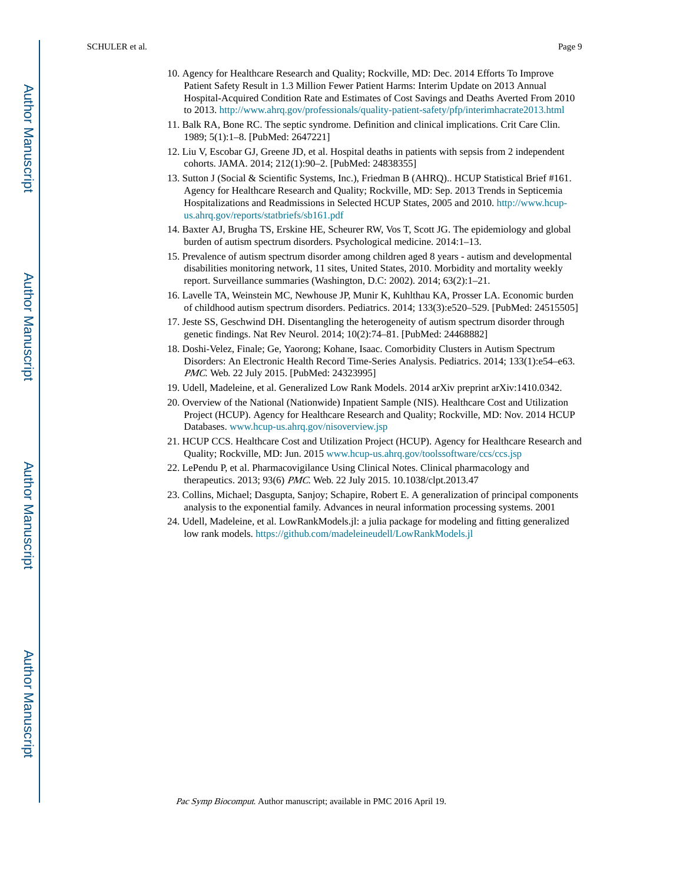- 10. Agency for Healthcare Research and Quality; Rockville, MD: Dec. 2014 Efforts To Improve Patient Safety Result in 1.3 Million Fewer Patient Harms: Interim Update on 2013 Annual Hospital-Acquired Condition Rate and Estimates of Cost Savings and Deaths Averted From 2010 to 2013. <http://www.ahrq.gov/professionals/quality-patient-safety/pfp/interimhacrate2013.html>
- 11. Balk RA, Bone RC. The septic syndrome. Definition and clinical implications. Crit Care Clin. 1989; 5(1):1–8. [PubMed: 2647221]
- 12. Liu V, Escobar GJ, Greene JD, et al. Hospital deaths in patients with sepsis from 2 independent cohorts. JAMA. 2014; 212(1):90–2. [PubMed: 24838355]
- 13. Sutton J (Social & Scientific Systems, Inc.), Friedman B (AHRQ).. HCUP Statistical Brief #161. Agency for Healthcare Research and Quality; Rockville, MD: Sep. 2013 Trends in Septicemia Hospitalizations and Readmissions in Selected HCUP States, 2005 and 2010. [http://www.hcup](http://www.hcup-us.ahrq.gov/reports/statbriefs/sb161.pdf)[us.ahrq.gov/reports/statbriefs/sb161.pdf](http://www.hcup-us.ahrq.gov/reports/statbriefs/sb161.pdf)
- 14. Baxter AJ, Brugha TS, Erskine HE, Scheurer RW, Vos T, Scott JG. The epidemiology and global burden of autism spectrum disorders. Psychological medicine. 2014:1–13.
- 15. Prevalence of autism spectrum disorder among children aged 8 years autism and developmental disabilities monitoring network, 11 sites, United States, 2010. Morbidity and mortality weekly report. Surveillance summaries (Washington, D.C: 2002). 2014; 63(2):1–21.
- 16. Lavelle TA, Weinstein MC, Newhouse JP, Munir K, Kuhlthau KA, Prosser LA. Economic burden of childhood autism spectrum disorders. Pediatrics. 2014; 133(3):e520–529. [PubMed: 24515505]
- 17. Jeste SS, Geschwind DH. Disentangling the heterogeneity of autism spectrum disorder through genetic findings. Nat Rev Neurol. 2014; 10(2):74–81. [PubMed: 24468882]
- 18. Doshi-Velez, Finale; Ge, Yaorong; Kohane, Isaac. Comorbidity Clusters in Autism Spectrum Disorders: An Electronic Health Record Time-Series Analysis. Pediatrics. 2014; 133(1):e54–e63. PMC. Web. 22 July 2015. [PubMed: 24323995]
- 19. Udell, Madeleine, et al. Generalized Low Rank Models. 2014 arXiv preprint arXiv:1410.0342.
- 20. Overview of the National (Nationwide) Inpatient Sample (NIS). Healthcare Cost and Utilization Project (HCUP). Agency for Healthcare Research and Quality; Rockville, MD: Nov. 2014 HCUP Databases. www.hcup-us.ahrq.gov/nisoverview.jsp
- 21. HCUP CCS. Healthcare Cost and Utilization Project (HCUP). Agency for Healthcare Research and Quality; Rockville, MD: Jun. 2015 www.hcup-us.ahrq.gov/toolssoftware/ccs/ccs.jsp
- 22. LePendu P, et al. Pharmacovigilance Using Clinical Notes. Clinical pharmacology and therapeutics. 2013; 93(6) PMC. Web. 22 July 2015. 10.1038/clpt.2013.47
- 23. Collins, Michael; Dasgupta, Sanjoy; Schapire, Robert E. A generalization of principal components analysis to the exponential family. Advances in neural information processing systems. 2001
- 24. Udell, Madeleine, et al. LowRankModels.jl: a julia package for modeling and fitting generalized low rank models.<https://github.com/madeleineudell/LowRankModels.jl>

Author Manuscript

Author Manuscript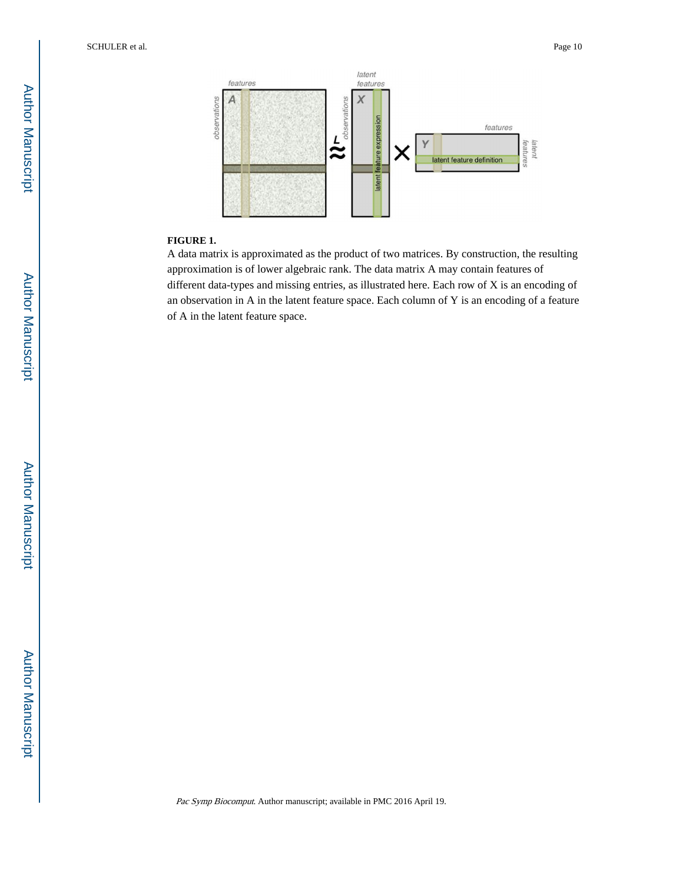

## **FIGURE 1.**

A data matrix is approximated as the product of two matrices. By construction, the resulting approximation is of lower algebraic rank. The data matrix A may contain features of different data-types and missing entries, as illustrated here. Each row of X is an encoding of an observation in A in the latent feature space. Each column of Y is an encoding of a feature of A in the latent feature space.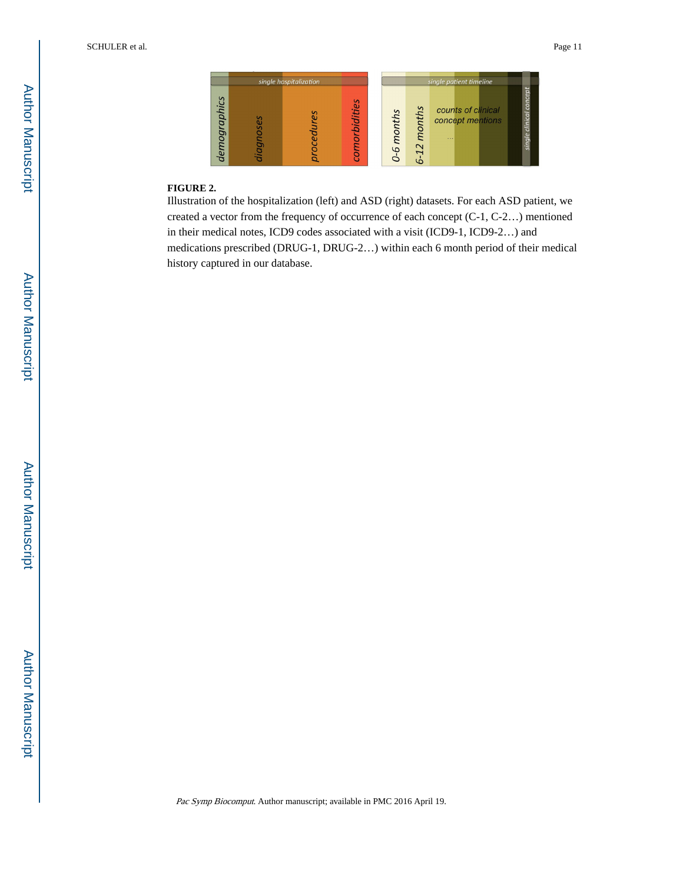|                                               | single hospitalization |             | single patient timeline                                                                                        |
|-----------------------------------------------|------------------------|-------------|----------------------------------------------------------------------------------------------------------------|
| phics<br>D<br>lĎO<br>Е<br>$\overline{a}$<br>ਠ | S<br>piditie<br>×      | months<br>S | concept<br>nonths<br>counts of clinical<br><i><b>Inical</b></i><br>concept mentions<br>π<br>single<br>$\cdots$ |

#### **FIGURE 2.**

Illustration of the hospitalization (left) and ASD (right) datasets. For each ASD patient, we created a vector from the frequency of occurrence of each concept (C-1, C-2…) mentioned in their medical notes, ICD9 codes associated with a visit (ICD9-1, ICD9-2…) and medications prescribed (DRUG-1, DRUG-2…) within each 6 month period of their medical history captured in our database.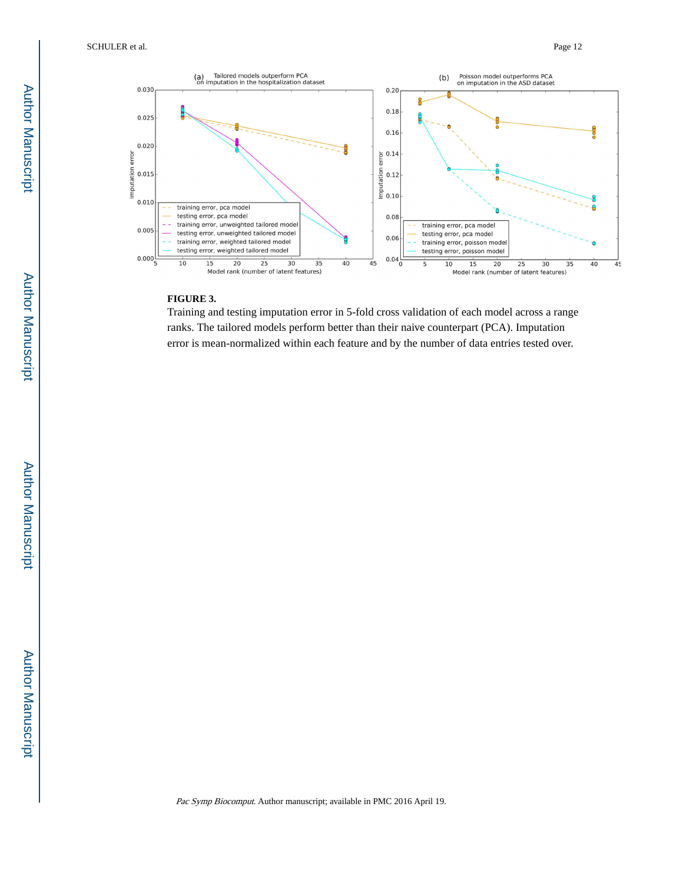

## **FIGURE 3.**

Training and testing imputation error in 5-fold cross validation of each model across a range ranks. The tailored models perform better than their naive counterpart (PCA). Imputation error is mean-normalized within each feature and by the number of data entries tested over.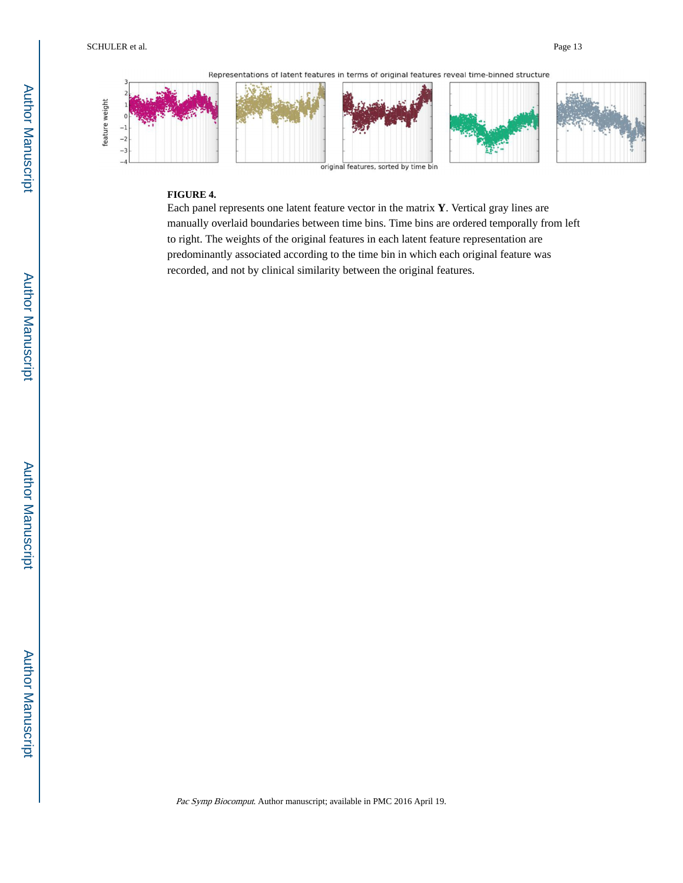

#### **FIGURE 4.**

Each panel represents one latent feature vector in the matrix **Y**. Vertical gray lines are manually overlaid boundaries between time bins. Time bins are ordered temporally from left to right. The weights of the original features in each latent feature representation are predominantly associated according to the time bin in which each original feature was recorded, and not by clinical similarity between the original features.